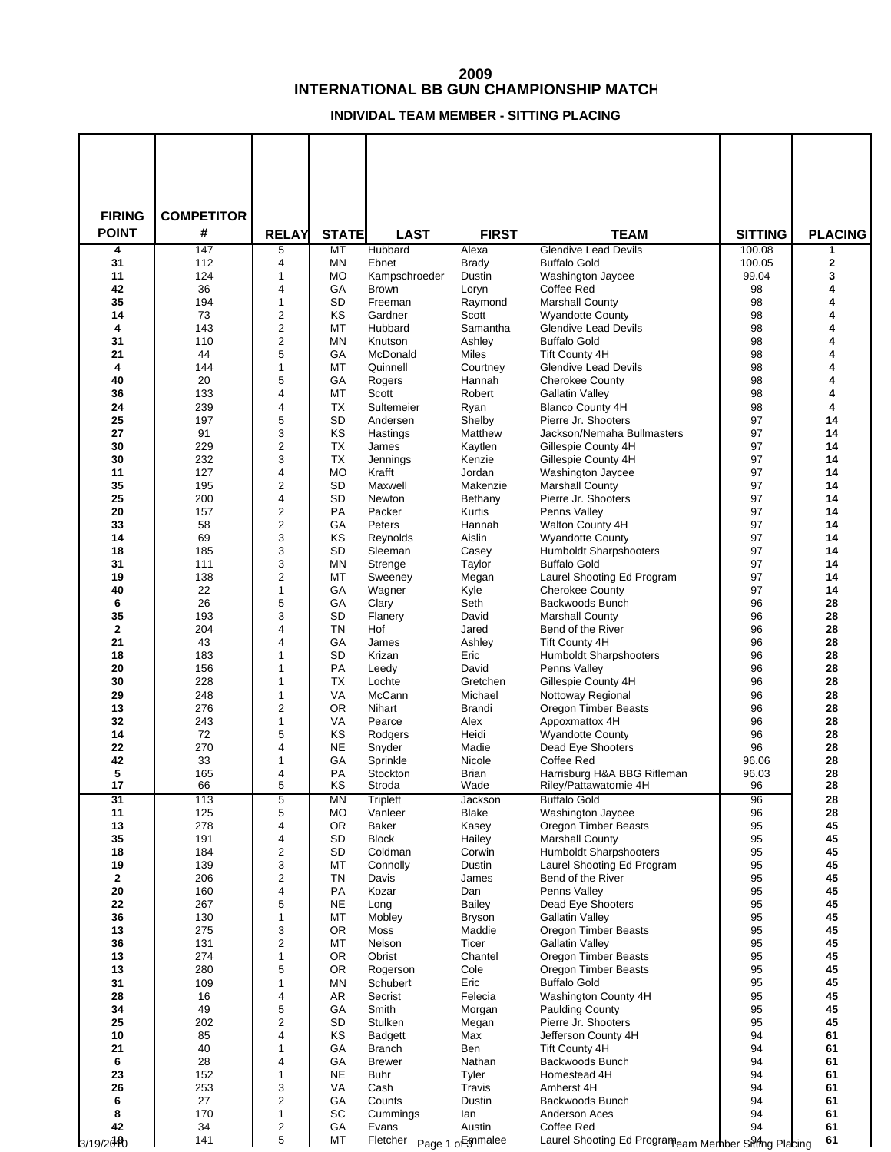## **INTERNATIONAL BB GUN CHAMPIONSHIP MATCH**

## **INDIVIDAL TEAM MEMBER - SITTING PLACING**

| <b>FIRING</b><br><b>POINT</b> | <b>COMPETITOR</b><br># |                   | <b>STATE</b>    |                              |                       |                                                          |                          |                     |
|-------------------------------|------------------------|-------------------|-----------------|------------------------------|-----------------------|----------------------------------------------------------|--------------------------|---------------------|
| 4                             | 147                    | <b>RELAY</b><br>5 | MT              | <b>LAST</b><br>Hubbard       | <b>FIRST</b><br>Alexa | <b>TEAM</b><br><b>Glendive Lead Devils</b>               | <b>SITTING</b><br>100.08 | <b>PLACING</b><br>1 |
| 31                            | 112                    | 4                 | <b>MN</b>       | Ebnet                        | <b>Brady</b>          | <b>Buffalo Gold</b>                                      | 100.05                   | $\mathbf 2$         |
| 11                            | 124                    | 1                 | МO              | Kampschroeder                | Dustin                | Washington Jaycee                                        | 99.04                    | 3                   |
| 42                            | 36                     | 4                 | GA              | <b>Brown</b>                 | Loryn                 | Coffee Red                                               | 98                       | 4                   |
| 35                            | 194                    | 1                 | <b>SD</b>       | Freeman                      | Raymond               | <b>Marshall County</b>                                   | 98                       | 4                   |
| 14                            | 73                     | 2                 | <b>KS</b>       | Gardner                      | Scott                 | <b>Wyandotte County</b>                                  | 98                       | 4                   |
| 4<br>31                       | 143<br>110             | 2<br>2            | MT<br><b>MN</b> | Hubbard<br>Knutson           | Samantha<br>Ashley    | <b>Glendive Lead Devils</b><br><b>Buffalo Gold</b>       | 98<br>98                 | 4<br>4              |
| 21                            | 44                     | 5                 | GA              | McDonald                     | Miles                 | <b>Tift County 4H</b>                                    | 98                       | 4                   |
| 4                             | 144                    | 1                 | MT              | Quinnell                     | Courtney              | <b>Glendive Lead Devils</b>                              | 98                       | 4                   |
| 40                            | 20                     | 5                 | GA              | Rogers                       | Hannah                | <b>Cherokee County</b>                                   | 98                       | 4                   |
| 36                            | 133                    | 4                 | MT              | Scott                        | Robert                | <b>Gallatin Valley</b>                                   | 98                       | 4                   |
| 24                            | 239                    | 4                 | <b>TX</b>       | Sultemeier                   | Ryan                  | <b>Blanco County 4H</b>                                  | 98                       | 4                   |
| 25<br>27                      | 197<br>91              | 5                 | <b>SD</b>       | Andersen                     | Shelby                | Pierre Jr. Shooters                                      | 97<br>97                 | 14                  |
| 30                            | 229                    | 3<br>2            | KS<br><b>TX</b> | Hastings<br>James            | Matthew<br>Kaytlen    | Jackson/Nemaha Bullmasters<br>Gillespie County 4H        | 97                       | 14<br>14            |
| 30                            | 232                    | 3                 | <b>TX</b>       | Jennings                     | Kenzie                | Gillespie County 4H                                      | 97                       | 14                  |
| 11                            | 127                    | 4                 | <b>MO</b>       | Krafft                       | Jordan                | Washington Jaycee                                        | 97                       | 14                  |
| 35                            | 195                    | 2                 | <b>SD</b>       | Maxwell                      | Makenzie              | <b>Marshall County</b>                                   | 97                       | 14                  |
| 25                            | 200                    | 4                 | <b>SD</b>       | Newton                       | Bethany               | Pierre Jr. Shooters                                      | 97                       | 14                  |
| 20                            | 157                    | 2                 | <b>PA</b>       | Packer                       | Kurtis                | Penns Valley                                             | 97                       | 14                  |
| 33                            | 58                     | 2                 | GA              | Peters                       | Hannah                | Walton County 4H                                         | 97                       | 14                  |
| 14<br>18                      | 69<br>185              | 3<br>3            | KS<br><b>SD</b> | Reynolds<br>Sleeman          | Aislin<br>Casey       | <b>Wyandotte County</b><br><b>Humboldt Sharpshooters</b> | 97<br>97                 | 14<br>14            |
| 31                            | 111                    | 3                 | <b>MN</b>       | Strenge                      | Taylor                | <b>Buffalo Gold</b>                                      | 97                       | 14                  |
| 19                            | 138                    | 2                 | МT              | Sweeney                      | Megan                 | Laurel Shooting Ed Program                               | 97                       | 14                  |
| 40                            | 22                     | 1                 | GA              | Wagner                       | Kyle                  | <b>Cherokee County</b>                                   | 97                       | 14                  |
| 6                             | 26                     | 5                 | GA              | Clary                        | Seth                  | Backwoods Bunch                                          | 96                       | 28                  |
| 35                            | 193                    | 3                 | <b>SD</b>       | Flanery                      | David                 | <b>Marshall County</b>                                   | 96                       | 28                  |
| $\mathbf 2$                   | 204                    | 4                 | <b>TN</b>       | Hof                          | Jared                 | Bend of the River                                        | 96                       | 28                  |
| 21<br>18                      | 43<br>183              | 4<br>1            | GA<br><b>SD</b> | James<br>Krizan              | Ashley<br>Eric        | <b>Tift County 4H</b><br><b>Humboldt Sharpshooters</b>   | 96<br>96                 | 28<br>28            |
| 20                            | 156                    | 1                 | <b>PA</b>       | Leedy                        | David                 | Penns Valley                                             | 96                       | 28                  |
| 30                            | 228                    | 1                 | <b>TX</b>       | Lochte                       | Gretchen              | Gillespie County 4H                                      | 96                       | 28                  |
| 29                            | 248                    | 1                 | <b>VA</b>       | <b>McCann</b>                | Michael               | Nottoway Regional                                        | 96                       | 28                  |
| 13                            | 276                    | $\overline{2}$    | <b>OR</b>       | Nihart                       | Brandi                | <b>Oregon Timber Beasts</b>                              | 96                       | 28                  |
| 32                            | 243                    | 1                 | <b>VA</b>       | Pearce                       | Alex                  | Appoxmattox 4H                                           | 96                       | 28                  |
| 14                            | 72                     | 5                 | KS              | Rodgers                      | Heidi                 | <b>Wyandotte County</b>                                  | 96                       | 28                  |
| 22<br>42                      | 270<br>33              | 4<br>1            | <b>NE</b><br>GA | Snyder<br>Sprinkle           | Madie<br>Nicole       | Dead Eye Shooters<br>Coffee Red                          | 96<br>96.06              | 28<br>28            |
| 5                             | 165                    | 4                 | <b>PA</b>       | Stockton                     | <b>Brian</b>          | Harrisburg H&A BBG Rifleman                              | 96.03                    | 28                  |
| 17                            | 66                     | 5                 | KS              | <b>Stroda</b>                | Wade                  | Riley/Pattawatomie 4H                                    | 96                       | 28                  |
| 31                            | 113                    | 5                 | <b>MN</b>       | Triplett                     | Jackson               | <b>Buffalo Gold</b>                                      | 96                       | 28                  |
| 11                            | 125                    | 5                 | МO              | Vanleer                      | Blake                 | Washington Jaycee                                        | 96                       | 28                  |
| 13                            | 278                    | 4                 | 0R              | <b>Baker</b>                 | Kasey                 | Oregon Timber Beasts                                     | 95                       | 45                  |
| 35<br>18                      | 191<br>184             | 4<br>2            | SD<br>SD        | <b>Block</b><br>Coldman      | Hailey<br>Corwin      | <b>Marshall County</b><br><b>Humboldt Sharpshooters</b>  | 95<br>95                 | 45<br>45            |
| 19                            | 139                    | 3                 | MT              | Connolly                     | Dustin                | Laurel Shooting Ed Program                               | 95                       | 45                  |
| $\mathbf{2}$                  | 206                    | 2                 | TN              | Davis                        | James                 | Bend of the River                                        | 95                       | 45                  |
| 20                            | 160                    | 4                 | PA              | Kozar                        | Dan                   | Penns Valley                                             | 95                       | 45                  |
| 22                            | 267                    | 5                 | <b>NE</b>       | Long                         | Bailey                | Dead Eye Shooters                                        | 95                       | 45                  |
| 36                            | 130                    | 1                 | MT              | Mobley                       | <b>Bryson</b>         | <b>Gallatin Valley</b>                                   | 95                       | 45                  |
| 13                            | 275                    | 3                 | 0R              | <b>Moss</b>                  | Maddie                | Oregon Timber Beasts                                     | 95                       | 45                  |
| 36<br>13                      | 131<br>274             | 2<br>1            | MT<br>0R        | Nelson<br>Obrist             | Ticer<br>Chantel      | <b>Gallatin Valley</b><br>Oregon Timber Beasts           | 95<br>95                 | 45<br>45            |
| 13                            | 280                    | 5                 | 0R              | Rogerson                     | Cole                  | Oregon Timber Beasts                                     | 95                       | 45                  |
| 31                            | 109                    | 1                 | MN              | Schubert                     | Eric                  | <b>Buffalo Gold</b>                                      | 95                       | 45                  |
| 28                            | 16                     | 4                 | AR              | Secrist                      | Felecia               | Washington County 4H                                     | 95                       | 45                  |
| 34                            | 49                     | 5                 | GA              | Smith                        | Morgan                | <b>Paulding County</b>                                   | 95                       | 45                  |
| 25                            | 202                    | 2                 | SD              | Stulken                      | Megan                 | Pierre Jr. Shooters                                      | 95                       | 45                  |
| 10                            | 85                     | 4                 | KS              | <b>Badgett</b>               | Max                   | Jefferson County 4H                                      | 94                       | 61                  |
| 21<br>6                       | 40<br>28               | 1<br>4            | GA              | <b>Branch</b>                | Ben                   | <b>Tift County 4H</b>                                    | 94<br>94                 | 61                  |
| 23                            | 152                    | 1                 | GA<br><b>NE</b> | <b>Brewer</b><br><b>Buhr</b> | Nathan<br>Tyler       | Backwoods Bunch<br>Homestead 4H                          | 94                       | 61<br>61            |
| 26                            | 253                    | 3                 | VA              | Cash                         | Travis                | Amherst 4H                                               | 94                       | 61                  |
| 6                             | 27                     | 2                 | GA              | Counts                       | Dustin                | Backwoods Bunch                                          | 94                       | 61                  |
| 8                             | 170                    | 1                 | SC              | Cummings                     | lan                   | Anderson Aces                                            | 94                       | 61                  |
| 42                            | 34                     | 2                 | GA              | Evans                        | Austin                | Coffee Red                                               | 94                       | 61                  |
| 3/19/2010                     | 141                    | 5                 | MT              | Fletcher                     | Page 1 of mmalee      | Laurel Shooting Ed Programeam Member Siting Placing      |                          | 61                  |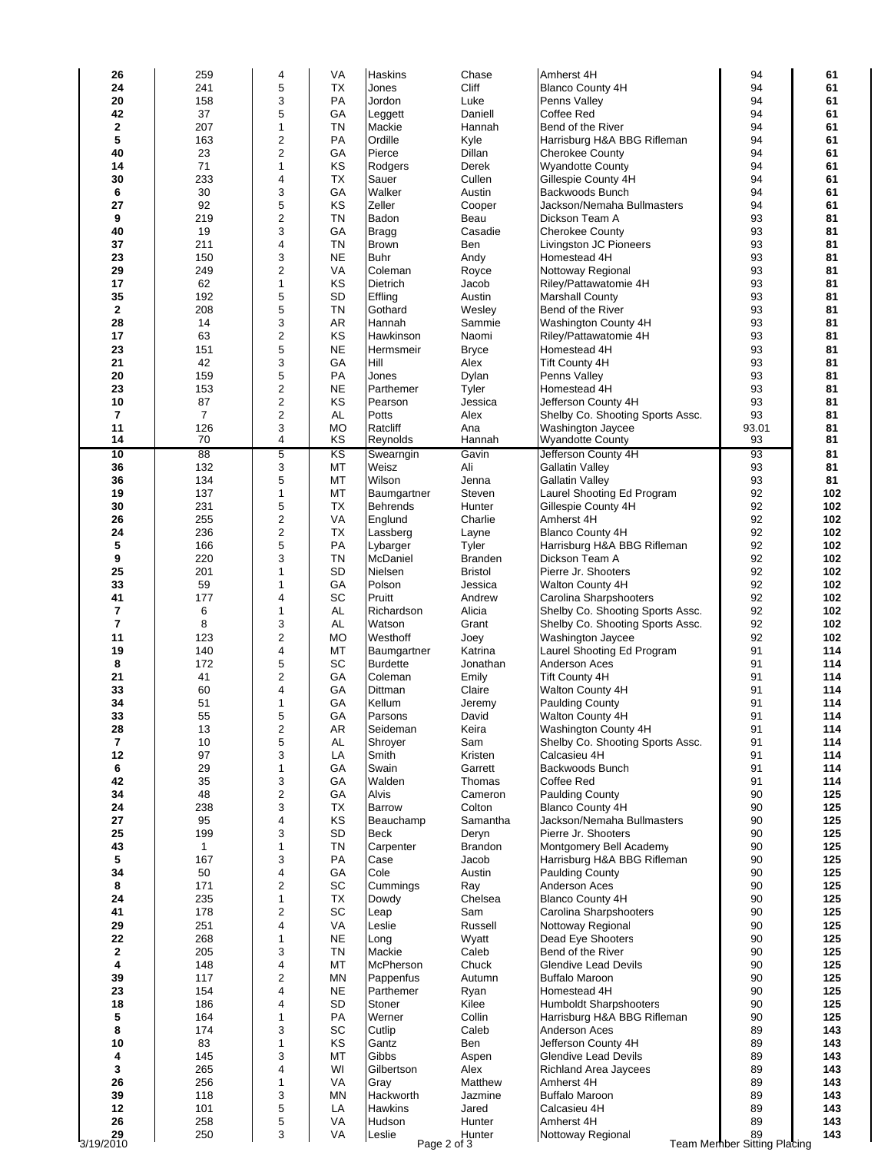| 26                       | 259            | 4                             | VA                     | <b>Haskins</b>         | Chase                 | Amherst 4H                                             | 94                                | 61         |
|--------------------------|----------------|-------------------------------|------------------------|------------------------|-----------------------|--------------------------------------------------------|-----------------------------------|------------|
| 24                       | 241            | 5                             | TX                     | Jones                  | Cliff                 | <b>Blanco County 4H</b>                                | 94                                | 61         |
| 20                       | 158            | 3                             | PA                     | Jordon                 | Luke                  | Penns Valley                                           | 94                                | 61         |
| 42                       | 37             | 5                             | GA                     | Leggett                | Daniell               | Coffee Red                                             | 94                                | 61         |
| 2                        | 207            | $\mathbf{1}$                  | <b>TN</b>              | Mackie                 | Hannah                | Bend of the River                                      | 94                                | 61         |
| 5                        | 163            | $\overline{c}$                | PA                     | Ordille                | Kyle                  | Harrisburg H&A BBG Rifleman                            | 94                                | 61         |
| 40                       | 23             | $\overline{2}$                | GA                     | Pierce                 | Dillan                | <b>Cherokee County</b>                                 | 94                                | 61         |
| 14                       | 71             | $\mathbf{1}$                  | KS                     | Rodgers                | Derek                 | <b>Wyandotte County</b>                                | 94                                | 61         |
| 30                       | 233            | $\overline{4}$                | <b>TX</b>              | Sauer                  | Cullen                | Gillespie County 4H                                    | 94                                | 61         |
| 6                        | 30             | 3                             | GA                     | Walker                 | Austin                | Backwoods Bunch                                        | 94                                | 61         |
| 27                       | 92             | 5                             | KS                     | Zeller                 | Cooper                | Jackson/Nemaha Bullmasters                             | 94                                | 61         |
| 9                        | 219            | $\mathbf 2$                   | <b>TN</b>              | Badon                  | Beau                  | Dickson Team A                                         | 93                                | 81         |
| 40                       | 19             | 3                             | GA                     | <b>Bragg</b>           | Casadie               | <b>Cherokee County</b>                                 | 93                                | 81         |
| 37                       | 211            | $\overline{4}$                | <b>TN</b><br><b>NE</b> | <b>Brown</b>           | Ben                   | Livingston JC Pioneers<br>Homestead 4H                 | 93                                | 81         |
| 23<br>29                 | 150<br>249     | 3<br>$\overline{c}$           | VA                     | <b>Buhr</b><br>Coleman | Andy                  | Nottoway Regional                                      | 93<br>93                          | 81<br>81   |
| 17                       | 62             | $\mathbf{1}$                  | KS                     | <b>Dietrich</b>        | Royce<br>Jacob        | Riley/Pattawatomie 4H                                  | 93                                | 81         |
| 35                       | 192            | 5                             | <b>SD</b>              | Effling                | Austin                | <b>Marshall County</b>                                 | 93                                | 81         |
| $\mathbf{2}$             | 208            | 5                             | <b>TN</b>              | Gothard                | Wesley                | Bend of the River                                      | 93                                | 81         |
| 28                       | 14             | 3                             | AR                     | Hannah                 | Sammie                | Washington County 4H                                   | 93                                | 81         |
| 17                       | 63             | $\overline{c}$                | KS                     | Hawkinson              | Naomi                 | Riley/Pattawatomie 4H                                  | 93                                | 81         |
| 23                       | 151            | 5                             | <b>NE</b>              | Hermsmeir              | <b>Bryce</b>          | Homestead 4H                                           | 93                                | 81         |
| 21                       | 42             | 3                             | GA                     | Hill                   | Alex                  | <b>Tift County 4H</b>                                  | 93                                | 81         |
| 20                       | 159            | 5                             | PA                     | Jones                  | Dylan                 | Penns Valley                                           | 93                                | 81         |
| 23                       | 153            | $\boldsymbol{2}$              | <b>NE</b>              | Parthemer              | Tyler                 | Homestead 4H                                           | 93                                | 81         |
| 10                       | 87             | $\mathbf 2$                   | KS                     | Pearson                | Jessica               | Jefferson County 4H                                    | 93                                | 81         |
| 7                        | $\overline{7}$ | $\overline{c}$                | AL                     | Potts                  | Alex                  | Shelby Co. Shooting Sports Assc.                       | 93                                | 81         |
| 11                       | 126            | 3                             | <b>MO</b>              | Ratcliff               | Ana                   | Washington Jaycee                                      | 93.01                             | 81         |
| 14                       | 70             | $\overline{4}$                | KS                     | Reynolds               | Hannah                | <b>Wyandotte County</b>                                | 93                                | 81         |
| 10                       | 88             | 5                             | $\overline{\text{KS}}$ | Swearngin              | Gavin                 | Jefferson County 4H                                    | 93                                | 81         |
| 36                       | 132            | 3                             | МT                     | Weisz                  | Ali                   | <b>Gallatin Valley</b>                                 | 93                                | 81         |
| 36                       | 134            | 5                             | MT                     | Wilson                 | Jenna                 | <b>Gallatin Valley</b>                                 | 93                                | 81         |
| 19                       | 137            | $\mathbf{1}$                  | МT                     | Baumgartner            | Steven                | Laurel Shooting Ed Program                             | 92                                | 102        |
| 30                       | 231            | 5                             | TX                     | <b>Behrends</b>        | Hunter                | Gillespie County 4H                                    | 92                                | 102        |
| 26                       | 255<br>236     | $\overline{c}$<br>$\mathbf 2$ | VA<br>TX               | Englund                | Charlie               | Amherst 4H                                             | 92<br>92                          | 102        |
| 24<br>5                  | 166            | 5                             | PA                     | Lassberg<br>Lybarger   | Layne<br>Tyler        | <b>Blanco County 4H</b><br>Harrisburg H&A BBG Rifleman | 92                                | 102<br>102 |
| 9                        | 220            | 3                             | <b>TN</b>              | McDaniel               | <b>Branden</b>        | Dickson Team A                                         | 92                                | 102        |
| 25                       | 201            | $\mathbf{1}$                  | <b>SD</b>              | Nielsen                | <b>Bristol</b>        | Pierre Jr. Shooters                                    | 92                                | 102        |
| 33                       | 59             | $\mathbf{1}$                  | GA                     | Polson                 | Jessica               | Walton County 4H                                       | 92                                | 102        |
| 41                       | 177            | $\overline{4}$                | SC                     | Pruitt                 | Andrew                | Carolina Sharpshooters                                 | 92                                | 102        |
| 7                        | 6              | $\mathbf{1}$                  | <b>AL</b>              | Richardson             | Alicia                | Shelby Co. Shooting Sports Assc.                       | 92                                | 102        |
| $\overline{7}$           | 8              | 3                             | AL                     | Watson                 | Grant                 | Shelby Co. Shooting Sports Assc.                       | 92                                | 102        |
| 11                       | 123            | $\overline{c}$                | <b>MO</b>              | Westhoff               | Joey                  | Washington Jaycee                                      | 92                                | 102        |
| 19                       | 140            | $\overline{4}$                | МT                     | Baumgartner            | Katrina               | Laurel Shooting Ed Program                             | 91                                | 114        |
| 8                        | 172            | 5                             | SC                     | <b>Burdette</b>        | Jonathan              | Anderson Aces                                          | 91                                | 114        |
| 21                       | 41             | $\overline{c}$                | GA                     | Coleman                | Emily                 | <b>Tift County 4H</b>                                  | 91                                | 114        |
| 33                       | 60             | $\overline{\mathbf{4}}$       | GA                     | Dittman                | Claire                | Walton County 4H                                       | 91                                | 114        |
| 34                       | 51             | $\mathbf{1}$                  | GA                     | Kellum                 | Jeremy                | <b>Paulding County</b>                                 | 91                                | 114        |
| 33                       | 55             | 5                             | GA                     | Parsons                | David                 | <b>Walton County 4H</b>                                | 91                                | 114        |
| 28                       | 13             | $\overline{\mathbf{c}}$       | AR                     | Seideman               | Keira                 | Washington County 4H                                   | 91                                | 114        |
| $\overline{\phantom{a}}$ | 10             | 5                             | AL                     | Shroyer                | Sam                   | Shelby Co. Shooting Sports Assc.                       | 91                                | 114        |
| 12                       | 97             | 3<br>$\mathbf{1}$             | LA<br>GA               | Smith                  | Kristen               | Calcasieu 4H<br>Backwoods Bunch                        | 91<br>91                          | 114        |
| 6<br>42                  | 29<br>35       | 3                             | GA                     | Swain<br>Walden        | Garrett<br>Thomas     | Coffee Red                                             | 91                                | 114<br>114 |
| 34                       | 48             | $\overline{c}$                | GА                     | Alvis                  | Cameron               | <b>Paulding County</b>                                 | 90                                | 125        |
| 24                       | 238            | 3                             | <b>TX</b>              | <b>Barrow</b>          | Colton                | <b>Blanco County 4H</b>                                | 90                                | 125        |
| 27                       | 95             | $\overline{4}$                | KS                     | Beauchamp              | Samantha              | Jackson/Nemaha Bullmasters                             | 90                                | 125        |
| 25                       | 199            | 3                             | SD                     | <b>Beck</b>            | Deryn                 | Pierre Jr. Shooters                                    | 90                                | 125        |
| 43                       | $\mathbf{1}$   | $\mathbf{1}$                  | <b>TN</b>              | Carpenter              | <b>Brandon</b>        | Montgomery Bell Academy                                | 90                                | 125        |
| 5                        | 167            | 3                             | PA                     | Case                   | Jacob                 | Harrisburg H&A BBG Rifleman                            | 90                                | 125        |
| 34                       | 50             | 4                             | GA                     | Cole                   | Austin                | <b>Paulding County</b>                                 | 90                                | 125        |
| 8                        | 171            | $\overline{c}$                | SC                     | Cummings               | Ray                   | Anderson Aces                                          | 90                                | 125        |
| 24                       | 235            | $\mathbf{1}$                  | TX                     | Dowdy                  | Chelsea               | <b>Blanco County 4H</b>                                | 90                                | 125        |
| 41                       | 178            | $\overline{2}$                | SC                     | Leap                   | Sam                   | Carolina Sharpshooters                                 | 90                                | 125        |
| 29                       | 251            | $\overline{4}$                | VA                     | Leslie                 | Russell               | Nottoway Regional                                      | 90                                | 125        |
| 22                       | 268            | 1                             | <b>NE</b>              | Long                   | Wyatt                 | Dead Eye Shooters                                      | 90                                | 125        |
| $\mathbf{2}$             | 205            | 3                             | <b>TN</b>              | Mackie                 | Caleb                 | Bend of the River                                      | 90                                | 125        |
| 4                        | 148            | $\overline{4}$                | МT                     | McPherson              | Chuck                 | <b>Glendive Lead Devils</b>                            | 90                                | 125        |
| 39                       | 117            | $\overline{c}$<br>4           | ΜN                     | Pappenfus              | Autumn                | <b>Buffalo Maroon</b>                                  | 90                                | 125        |
| 23<br>18                 | 154<br>186     | $\overline{4}$                | <b>NE</b><br><b>SD</b> | Parthemer<br>Stoner    | Ryan<br>Kilee         | Homestead 4H<br><b>Humboldt Sharpshooters</b>          | 90<br>90                          | 125<br>125 |
| 5                        | 164            | 1                             | PA                     | Werner                 | Collin                | Harrisburg H&A BBG Rifleman                            | 90                                | 125        |
| 8                        | 174            | 3                             | SC                     | Cutlip                 | Caleb                 | Anderson Aces                                          | 89                                | 143        |
| 10                       | 83             | $\mathbf{1}$                  | KS                     | Gantz                  | Ben                   | Jefferson County 4H                                    | 89                                | 143        |
| 4                        | 145            | 3                             | МT                     | Gibbs                  | Aspen                 | <b>Glendive Lead Devils</b>                            | 89                                | 143        |
| 3                        | 265            | $\overline{4}$                | WI                     | Gilbertson             | Alex                  | Richland Area Jaycees                                  | 89                                | 143        |
| 26                       | 256            | $\mathbf{1}$                  | VA                     | Gray                   | Matthew               | Amherst 4H                                             | 89                                | 143        |
| 39                       | 118            | 3                             | <b>MN</b>              | Hackworth              | Jazmine               | <b>Buffalo Maroon</b>                                  | 89                                | 143        |
| 12                       | 101            | 5                             | LA                     | <b>Hawkins</b>         | Jared                 | Calcasieu 4H                                           | 89                                | 143        |
| 26                       | 258            | 5<br>3                        | VA                     | Hudson                 | Hunter                | Amherst 4H                                             | 89                                | 143        |
| 29<br>3/19/2010          | 250            |                               | VA                     | Leslie                 | Hunter<br>Page 2 of 3 | Nottoway Regional                                      | 89<br>Team Member Sitting Placing | 143        |
|                          |                |                               |                        |                        |                       |                                                        |                                   |            |